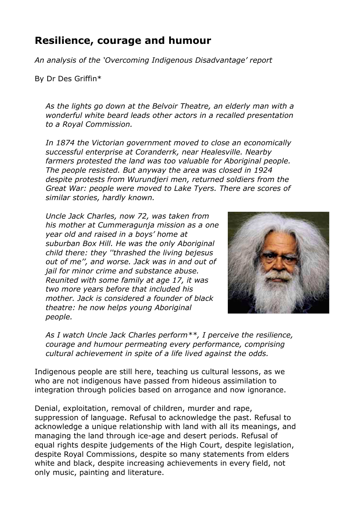# **Resilience, courage and humour**

*An analysis of the 'Overcoming Indigenous Disadvantage' report* 

By Dr Des Griffin\*

*As the lights go down at the Belvoir Theatre, an elderly man with a wonderful white beard leads other actors in a recalled presentation to a Royal Commission.*

*In 1874 the Victorian government moved to close an economically successful enterprise at Coranderrk, near Healesville. Nearby farmers protested the land was too valuable for Aboriginal people. The people resisted. But anyway the area was closed in 1924 despite protests from Wurundjeri men, returned soldiers from the Great War: people were moved to Lake Tyers. There are scores of similar stories, hardly known.*

*Uncle Jack Charles, now 72, was taken from his mother at Cummeragunja mission as a one year old and raised in a boys' home at suburban Box Hill. He was the only Aboriginal child there: they ''thrashed the living bejesus out of me'', and worse. Jack was in and out of jail for minor crime and substance abuse. Reunited with some family at age 17, it was two more years before that included his mother. Jack is considered a founder of black theatre: he now helps young Aboriginal people.* 



*As I watch Uncle Jack Charles perform\*\*, I perceive the resilience, courage and humour permeating every performance, comprising cultural achievement in spite of a life lived against the odds.*

Indigenous people are still here, teaching us cultural lessons, as we who are not indigenous have passed from hideous assimilation to integration through policies based on arrogance and now ignorance.

Denial, exploitation, removal of children, murder and rape, suppression of language. Refusal to acknowledge the past. Refusal to acknowledge a unique relationship with land with all its meanings, and managing the land through ice-age and desert periods. Refusal of equal rights despite judgements of the High Court, despite legislation, despite Royal Commissions, despite so many statements from elders white and black, despite increasing achievements in every field, not only music, painting and literature.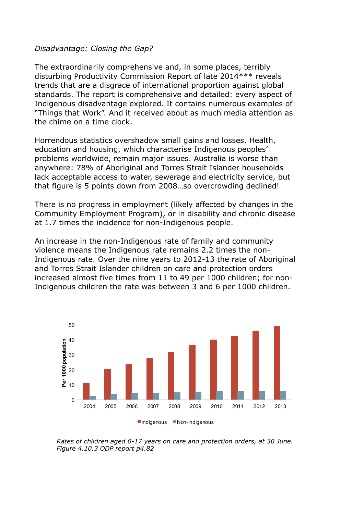#### *Disadvantage: Closing the Gap?*

The extraordinarily comprehensive and, in some places, terribly disturbing Productivity Commission Report of late 2014\*\*\* reveals trends that are a disgrace of international proportion against global standards. The report is comprehensive and detailed: every aspect of Indigenous disadvantage explored. It contains numerous examples of "Things that Work". And it received about as much media attention as the chime on a time clock.

Horrendous statistics overshadow small gains and losses. Health, education and housing, which characterise Indigenous peoples' problems worldwide, remain major issues. Australia is worse than anywhere: 78% of Aboriginal and Torres Strait Islander households lack acceptable access to water, sewerage and electricity service, but that figure is 5 points down from 2008…so overcrowding declined!

There is no progress in employment (likely affected by changes in the Community Employment Program), or in disability and chronic disease at 1.7 times the incidence for non-Indigenous people.

An increase in the non-Indigenous rate of family and community violence means the Indigenous rate remains 2.2 times the non-Indigenous rate. Over the nine years to 2012-13 the rate of Aboriginal and Torres Strait Islander children on care and protection orders increased almost five times from 11 to 49 per 1000 children; for non-Indigenous children the rate was between 3 and 6 per 1000 children.



*Rates of children aged 0-17 years on care and protection orders, at 30 June. Figure 4.10.3 ODP report p4.82*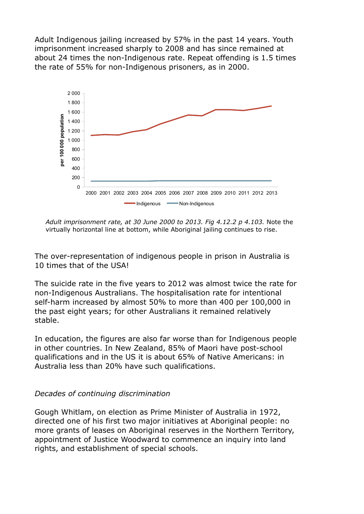Adult Indigenous jailing increased by 57% in the past 14 years. Youth imprisonment increased sharply to 2008 and has since remained at about 24 times the non-Indigenous rate. Repeat offending is 1.5 times the rate of 55% for non-Indigenous prisoners, as in 2000.



*Adult imprisonment rate, at 30 June 2000 to 2013. Fig 4.12.2 p 4.103.* Note the virtually horizontal line at bottom, while Aboriginal jailing continues to rise.

The over-representation of indigenous people in prison in Australia is 10 times that of the USA!

The suicide rate in the five years to 2012 was almost twice the rate for non-Indigenous Australians. The hospitalisation rate for intentional self-harm increased by almost 50% to more than 400 per 100,000 in the past eight years; for other Australians it remained relatively stable.

In education, the figures are also far worse than for Indigenous people in other countries. In New Zealand, 85% of Maori have post-school qualifications and in the US it is about 65% of Native Americans: in Australia less than 20% have such qualifications.

#### *Decades of continuing discrimination*

Gough Whitlam, on election as Prime Minister of Australia in 1972, directed one of his first two major initiatives at Aboriginal people: no more grants of leases on Aboriginal reserves in the Northern Territory, appointment of Justice Woodward to commence an inquiry into land rights, and establishment of special schools.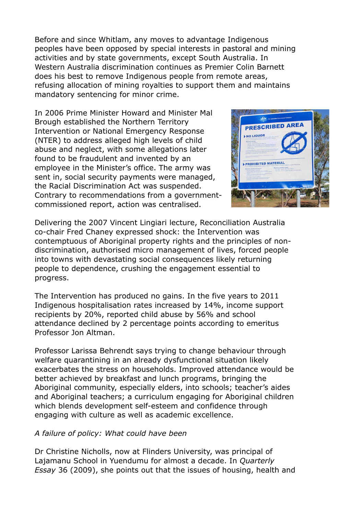Before and since Whitlam, any moves to advantage Indigenous peoples have been opposed by special interests in pastoral and mining activities and by state governments, except South Australia. In Western Australia discrimination continues as Premier Colin Barnett does his best to remove Indigenous people from remote areas, refusing allocation of mining royalties to support them and maintains mandatory sentencing for minor crime.

In 2006 Prime Minister Howard and Minister Mal Brough established the Northern Territory Intervention or National Emergency Response (NTER) to address alleged high levels of child abuse and neglect, with some allegations later found to be fraudulent and invented by an employee in the Minister's office. The army was sent in, social security payments were managed, the Racial Discrimination Act was suspended. Contrary to recommendations from a governmentcommissioned report, action was centralised.



Delivering the 2007 Vincent Lingiari lecture, Reconciliation Australia co-chair Fred Chaney expressed shock: the Intervention was contemptuous of Aboriginal property rights and the principles of nondiscrimination, authorised micro management of lives, forced people into towns with devastating social consequences likely returning people to dependence, crushing the engagement essential to progress.

The Intervention has produced no gains. In the five years to 2011 Indigenous hospitalisation rates increased by 14%, income support recipients by 20%, reported child abuse by 56% and school attendance declined by 2 percentage points according to emeritus Professor Jon Altman.

Professor Larissa Behrendt says trying to change behaviour through welfare quarantining in an already dysfunctional situation likely exacerbates the stress on households. Improved attendance would be better achieved by breakfast and lunch programs, bringing the Aboriginal community, especially elders, into schools; teacher's aides and Aboriginal teachers; a curriculum engaging for Aboriginal children which blends development self-esteem and confidence through engaging with culture as well as academic excellence.

#### *A failure of policy: What could have been*

Dr Christine Nicholls, now at Flinders University, was principal of Lajamanu School in Yuendumu for almost a decade. In *Quarterly Essay* 36 (2009), she points out that the issues of housing, health and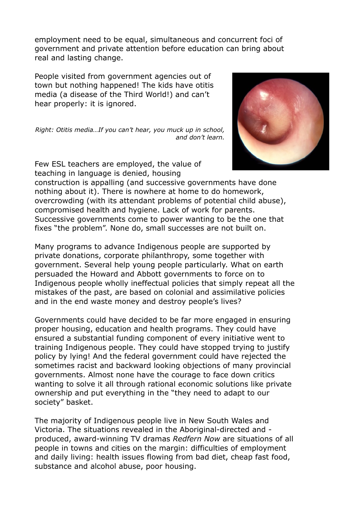employment need to be equal, simultaneous and concurrent foci of government and private attention before education can bring about real and lasting change.

People visited from government agencies out of town but nothing happened! The kids have otitis media (a disease of the Third World!) and can't hear properly: it is ignored.

*Right: Otitis media…If you can't hear, you muck up in school, and don't learn.* 



Few ESL teachers are employed, the value of teaching in language is denied, housing

construction is appalling (and successive governments have done nothing about it). There is nowhere at home to do homework, overcrowding (with its attendant problems of potential child abuse), compromised health and hygiene. Lack of work for parents. Successive governments come to power wanting to be the one that fixes "the problem". None do, small successes are not built on.

Many programs to advance Indigenous people are supported by private donations, corporate philanthropy, some together with government. Several help young people particularly. What on earth persuaded the Howard and Abbott governments to force on to Indigenous people wholly ineffectual policies that simply repeat all the mistakes of the past, are based on colonial and assimilative policies and in the end waste money and destroy people's lives?

Governments could have decided to be far more engaged in ensuring proper housing, education and health programs. They could have ensured a substantial funding component of every initiative went to training Indigenous people. They could have stopped trying to justify policy by lying! And the federal government could have rejected the sometimes racist and backward looking objections of many provincial governments. Almost none have the courage to face down critics wanting to solve it all through rational economic solutions like private ownership and put everything in the "they need to adapt to our society" basket.

The majority of Indigenous people live in New South Wales and Victoria. The situations revealed in the Aboriginal-directed and produced, award-winning TV dramas *Redfern Now* are situations of all people in towns and cities on the margin: difficulties of employment and daily living: health issues flowing from bad diet, cheap fast food, substance and alcohol abuse, poor housing.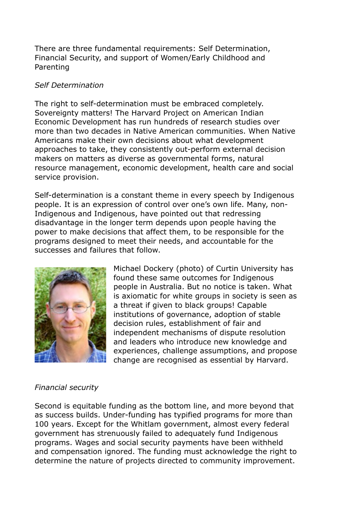There are three fundamental requirements: Self Determination, Financial Security, and support of Women/Early Childhood and Parenting

### *Self Determination*

The right to self-determination must be embraced completely. Sovereignty matters! The Harvard Project on American Indian Economic Development has run hundreds of research studies over more than two decades in Native American communities. When Native Americans make their own decisions about what development approaches to take, they consistently out-perform external decision makers on matters as diverse as governmental forms, natural resource management, economic development, health care and social service provision.

Self-determination is a constant theme in every speech by Indigenous people. It is an expression of control over one's own life. Many, non-Indigenous and Indigenous, have pointed out that redressing disadvantage in the longer term depends upon people having the power to make decisions that affect them, to be responsible for the programs designed to meet their needs, and accountable for the successes and failures that follow.



Michael Dockery (photo) of Curtin University has found these same outcomes for Indigenous people in Australia. But no notice is taken. What is axiomatic for white groups in society is seen as a threat if given to black groups! Capable institutions of governance, adoption of stable decision rules, establishment of fair and independent mechanisms of dispute resolution and leaders who introduce new knowledge and experiences, challenge assumptions, and propose change are recognised as essential by Harvard.

# *Financial security*

Second is equitable funding as the bottom line, and more beyond that as success builds. Under-funding has typified programs for more than 100 years. Except for the Whitlam government, almost every federal government has strenuously failed to adequately fund Indigenous programs. Wages and social security payments have been withheld and compensation ignored. The funding must acknowledge the right to determine the nature of projects directed to community improvement.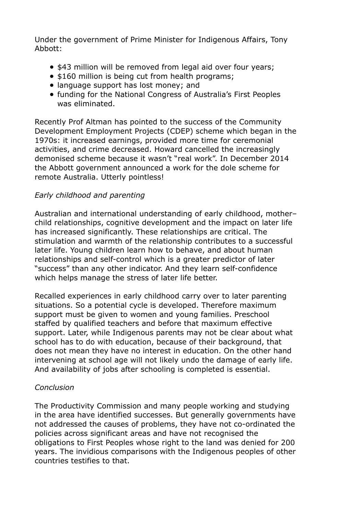Under the government of Prime Minister for Indigenous Affairs, Tony Abbott:

- \$43 million will be removed from legal aid over four years;
- \$160 million is being cut from health programs;
- language support has lost money; and
- funding for the National Congress of Australia's First Peoples was eliminated.

Recently Prof Altman has pointed to the success of the Community Development Employment Projects (CDEP) scheme which began in the 1970s: it increased earnings, provided more time for ceremonial activities, and crime decreased. Howard cancelled the increasingly demonised scheme because it wasn't "real work". In December 2014 the Abbott government announced a work for the dole scheme for remote Australia. Utterly pointless!

# *Early childhood and parenting*

Australian and international understanding of early childhood, mother– child relationships, cognitive development and the impact on later life has increased significantly. These relationships are critical. The stimulation and warmth of the relationship contributes to a successful later life. Young children learn how to behave, and about human relationships and self-control which is a greater predictor of later "success" than any other indicator. And they learn self-confidence which helps manage the stress of later life better.

Recalled experiences in early childhood carry over to later parenting situations. So a potential cycle is developed. Therefore maximum support must be given to women and young families. Preschool staffed by qualified teachers and before that maximum effective support. Later, while Indigenous parents may not be clear about what school has to do with education, because of their background, that does not mean they have no interest in education. On the other hand intervening at school age will not likely undo the damage of early life. And availability of jobs after schooling is completed is essential.

## *Conclusion*

The Productivity Commission and many people working and studying in the area have identified successes. But generally governments have not addressed the causes of problems, they have not co-ordinated the policies across significant areas and have not recognised the obligations to First Peoples whose right to the land was denied for 200 years. The invidious comparisons with the Indigenous peoples of other countries testifies to that.